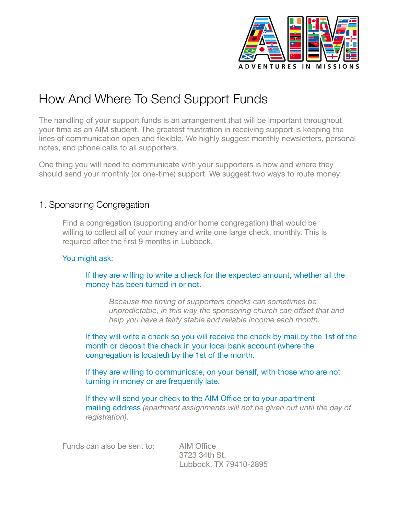

## How And Where To Send Support Funds

The handling of your support funds is an arrangement that will be important throughout your time as an AIM student. The greatest frustration in receiving support is keeping the lines of communication open and flexible. We highly suggest monthly newsletters, personal notes, and phone calls to all supporters.

One thing you will need to communicate with your supporters is how and where they should send your monthly (or one-time) support. We suggest two ways to route money:

## 1. Sponsoring Congregation

Find a congregation (supporting and/or home congregation) that would be willing to collect all of your money and write one large check, monthly. This is required after the first 9 months in Lubbock.

## You might ask:

If they are willing to write a check for the expected amount, whether all the money has been turned in or not.

*Because the timing of supporters checks can sometimes be unpredictable, in this way the sponsoring church can offset that and help you have a fairly stable and reliable income each month.* 

If they will write a check so you will receive the check by mail by the 1st of the month or deposit the check in your local bank account (where the congregation is located) by the 1st of the month.

If they are willing to communicate, on your behalf, with those who are not turning in money or are frequently late.

If they will send your check to the AIM Office or to your apartment mailing address *(apartment assignments will not be given out until the day of registration)*.

Funds can also be sent to: AIM Office

 3723 34th St. Lubbock, TX 79410-2895